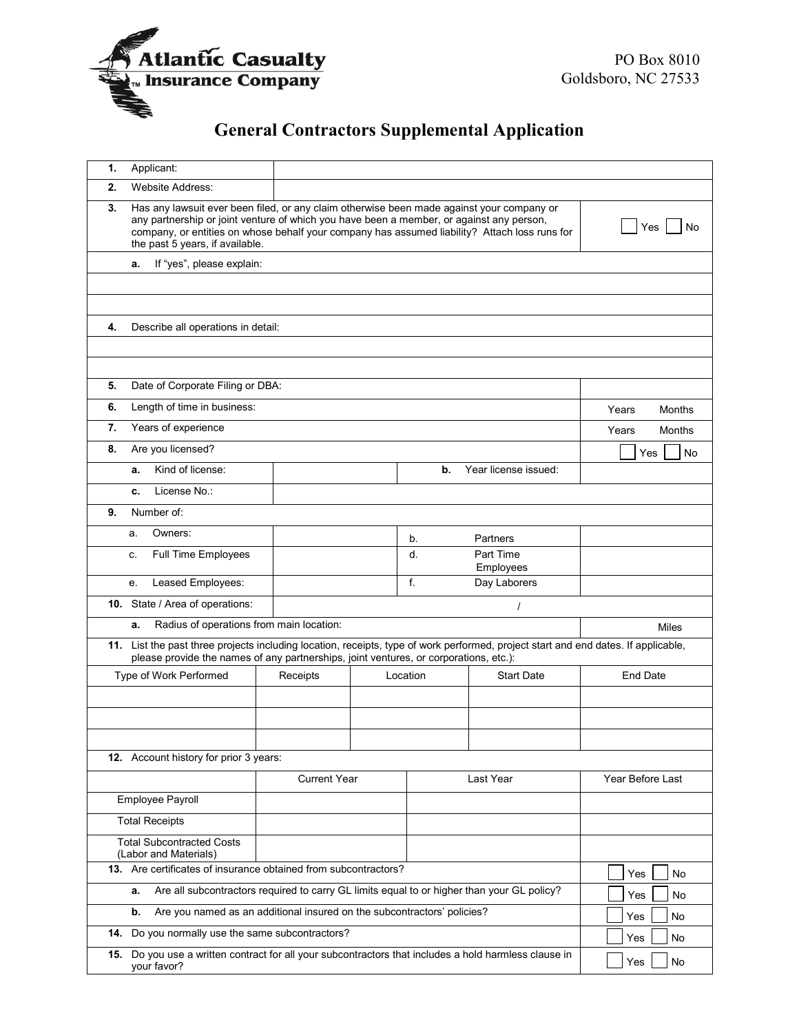

## **General Contractors Supplemental Application**

| 1.  | Applicant:                                                                                                                                                                                                                                                                                                                |                                  |                  |    |                      |                        |  |  |  |  |  |
|-----|---------------------------------------------------------------------------------------------------------------------------------------------------------------------------------------------------------------------------------------------------------------------------------------------------------------------------|----------------------------------|------------------|----|----------------------|------------------------|--|--|--|--|--|
| 2.  | <b>Website Address:</b>                                                                                                                                                                                                                                                                                                   |                                  |                  |    |                      |                        |  |  |  |  |  |
| 3.  | Has any lawsuit ever been filed, or any claim otherwise been made against your company or<br>any partnership or joint venture of which you have been a member, or against any person,<br>company, or entities on whose behalf your company has assumed liability? Attach loss runs for<br>the past 5 years, if available. |                                  | Yes<br>No        |    |                      |                        |  |  |  |  |  |
|     | If "yes", please explain:<br>а.                                                                                                                                                                                                                                                                                           |                                  |                  |    |                      |                        |  |  |  |  |  |
|     |                                                                                                                                                                                                                                                                                                                           |                                  |                  |    |                      |                        |  |  |  |  |  |
|     |                                                                                                                                                                                                                                                                                                                           |                                  |                  |    |                      |                        |  |  |  |  |  |
| 4.  | Describe all operations in detail:                                                                                                                                                                                                                                                                                        |                                  |                  |    |                      |                        |  |  |  |  |  |
|     |                                                                                                                                                                                                                                                                                                                           |                                  |                  |    |                      |                        |  |  |  |  |  |
|     |                                                                                                                                                                                                                                                                                                                           |                                  |                  |    |                      |                        |  |  |  |  |  |
| 5.  | Date of Corporate Filing or DBA:                                                                                                                                                                                                                                                                                          |                                  |                  |    |                      |                        |  |  |  |  |  |
| 6.  | Length of time in business:                                                                                                                                                                                                                                                                                               | Years<br>Months                  |                  |    |                      |                        |  |  |  |  |  |
| 7.  | Years of experience                                                                                                                                                                                                                                                                                                       |                                  |                  |    |                      | Years<br><b>Months</b> |  |  |  |  |  |
| 8.  | Are you licensed?                                                                                                                                                                                                                                                                                                         |                                  |                  |    | Yes<br>No            |                        |  |  |  |  |  |
|     | Kind of license:<br>a.                                                                                                                                                                                                                                                                                                    |                                  |                  | b. | Year license issued: |                        |  |  |  |  |  |
|     | License No.:<br>c.                                                                                                                                                                                                                                                                                                        |                                  |                  |    |                      |                        |  |  |  |  |  |
| 9.  | Number of:                                                                                                                                                                                                                                                                                                                |                                  |                  |    |                      |                        |  |  |  |  |  |
|     | Owners:<br>a.                                                                                                                                                                                                                                                                                                             |                                  |                  | b. | Partners             |                        |  |  |  |  |  |
|     | Full Time Employees<br>C.                                                                                                                                                                                                                                                                                                 | Part Time<br>d.                  |                  |    | Employees            |                        |  |  |  |  |  |
|     | Leased Employees:<br>е.                                                                                                                                                                                                                                                                                                   |                                  |                  | f. | Day Laborers         |                        |  |  |  |  |  |
|     | 10. State / Area of operations:                                                                                                                                                                                                                                                                                           | $\prime$                         |                  |    |                      |                        |  |  |  |  |  |
|     | Radius of operations from main location:<br>a.<br>Miles                                                                                                                                                                                                                                                                   |                                  |                  |    |                      |                        |  |  |  |  |  |
|     | 11. List the past three projects including location, receipts, type of work performed, project start and end dates. If applicable,                                                                                                                                                                                        |                                  |                  |    |                      |                        |  |  |  |  |  |
|     | please provide the names of any partnerships, joint ventures, or corporations, etc.):<br>Type of Work Performed<br>Receipts<br>Location                                                                                                                                                                                   |                                  |                  |    | <b>Start Date</b>    | <b>End Date</b>        |  |  |  |  |  |
|     |                                                                                                                                                                                                                                                                                                                           |                                  |                  |    |                      |                        |  |  |  |  |  |
|     |                                                                                                                                                                                                                                                                                                                           |                                  |                  |    |                      |                        |  |  |  |  |  |
|     |                                                                                                                                                                                                                                                                                                                           |                                  |                  |    |                      |                        |  |  |  |  |  |
|     | 12. Account history for prior 3 years:                                                                                                                                                                                                                                                                                    |                                  |                  |    |                      |                        |  |  |  |  |  |
|     |                                                                                                                                                                                                                                                                                                                           | <b>Current Year</b><br>Last Year |                  |    | Year Before Last     |                        |  |  |  |  |  |
|     | Employee Payroll                                                                                                                                                                                                                                                                                                          |                                  |                  |    |                      |                        |  |  |  |  |  |
|     | <b>Total Receipts</b>                                                                                                                                                                                                                                                                                                     |                                  |                  |    |                      |                        |  |  |  |  |  |
|     | <b>Total Subcontracted Costs</b><br>(Labor and Materials)                                                                                                                                                                                                                                                                 |                                  |                  |    |                      |                        |  |  |  |  |  |
|     | 13. Are certificates of insurance obtained from subcontractors?                                                                                                                                                                                                                                                           |                                  | Yes<br><b>No</b> |    |                      |                        |  |  |  |  |  |
|     | Are all subcontractors required to carry GL limits equal to or higher than your GL policy?<br>а.                                                                                                                                                                                                                          | No<br>Yes                        |                  |    |                      |                        |  |  |  |  |  |
|     | Are you named as an additional insured on the subcontractors' policies?<br>b.                                                                                                                                                                                                                                             | No<br>Yes                        |                  |    |                      |                        |  |  |  |  |  |
| 14. | Do you normally use the same subcontractors?                                                                                                                                                                                                                                                                              | No<br>Yes                        |                  |    |                      |                        |  |  |  |  |  |
| 15. | Do you use a written contract for all your subcontractors that includes a hold harmless clause in<br>your favor?                                                                                                                                                                                                          | Yes<br>No                        |                  |    |                      |                        |  |  |  |  |  |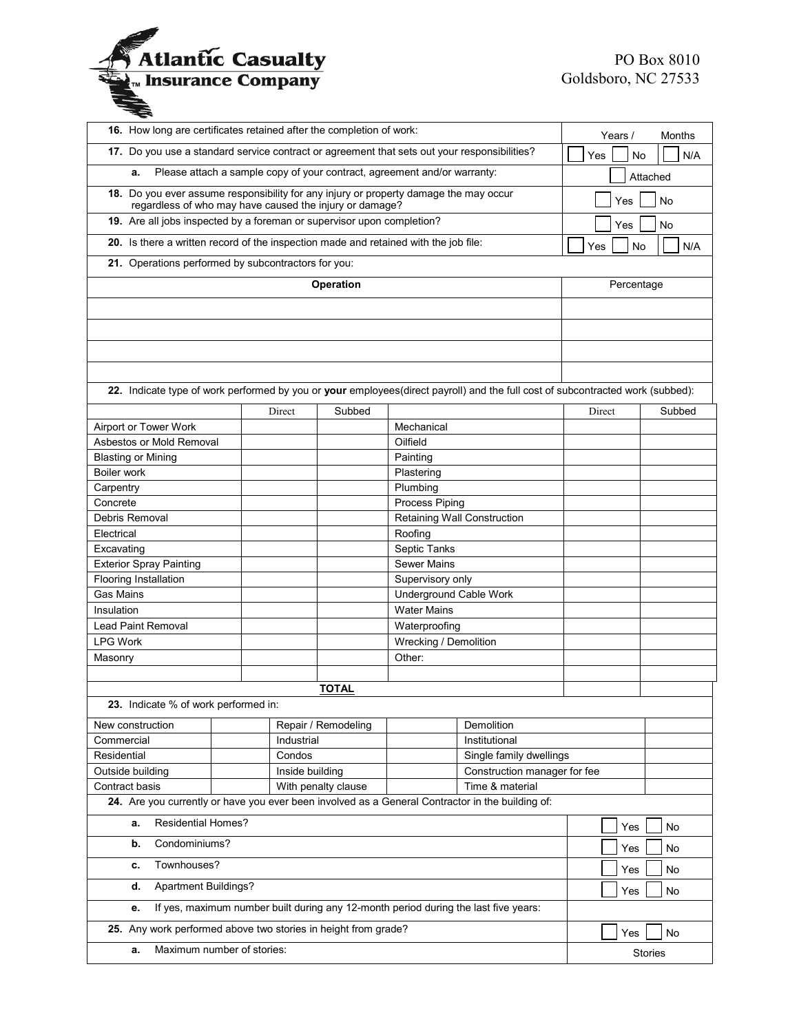

| 16. How long are certificates retained after the completion of work:                                                              | Years /              | Months              |                             |                                          |           |                |  |
|-----------------------------------------------------------------------------------------------------------------------------------|----------------------|---------------------|-----------------------------|------------------------------------------|-----------|----------------|--|
| 17. Do you use a standard service contract or agreement that sets out your responsibilities?                                      |                      |                     |                             |                                          |           | N/A<br>No      |  |
| Please attach a sample copy of your contract, agreement and/or warranty:<br>a.                                                    |                      |                     |                             |                                          |           | Attached       |  |
| 18. Do you ever assume responsibility for any injury or property damage the may occur                                             |                      |                     |                             |                                          |           | No<br>Yes      |  |
| regardless of who may have caused the injury or damage?<br>19. Are all jobs inspected by a foreman or supervisor upon completion? |                      |                     |                             |                                          |           |                |  |
|                                                                                                                                   |                      |                     |                             |                                          | Yes       | No             |  |
| 20. Is there a written record of the inspection made and retained with the job file:                                              |                      |                     |                             |                                          | Yes<br>No | N/A            |  |
| 21. Operations performed by subcontractors for you:                                                                               |                      |                     |                             |                                          |           |                |  |
| Operation                                                                                                                         |                      |                     |                             |                                          |           | Percentage     |  |
|                                                                                                                                   |                      |                     |                             |                                          |           |                |  |
|                                                                                                                                   |                      |                     |                             |                                          |           |                |  |
|                                                                                                                                   |                      |                     |                             |                                          |           |                |  |
|                                                                                                                                   |                      |                     |                             |                                          |           |                |  |
|                                                                                                                                   |                      |                     |                             |                                          |           |                |  |
| 22. Indicate type of work performed by you or your employees(direct payroll) and the full cost of subcontracted work (subbed):    |                      |                     |                             |                                          |           |                |  |
|                                                                                                                                   | Direct               | Subbed              |                             |                                          | Direct    | Subbed         |  |
| Airport or Tower Work                                                                                                             |                      |                     | Mechanical                  |                                          |           |                |  |
| Asbestos or Mold Removal                                                                                                          |                      |                     | Oilfield                    |                                          |           |                |  |
| <b>Blasting or Mining</b><br>Boiler work                                                                                          |                      |                     | Painting                    |                                          |           |                |  |
| Carpentry                                                                                                                         |                      |                     | Plumbing                    | Plastering                               |           |                |  |
| Concrete                                                                                                                          |                      |                     | Process Piping              |                                          |           |                |  |
| Debris Removal                                                                                                                    |                      |                     | Retaining Wall Construction |                                          |           |                |  |
| Electrical                                                                                                                        |                      |                     | Roofing                     |                                          |           |                |  |
| Excavating                                                                                                                        |                      |                     | Septic Tanks                |                                          |           |                |  |
| <b>Exterior Spray Painting</b>                                                                                                    |                      |                     | <b>Sewer Mains</b>          |                                          |           |                |  |
| Flooring Installation                                                                                                             |                      |                     | Supervisory only            |                                          |           |                |  |
| Gas Mains                                                                                                                         |                      |                     | Underground Cable Work      |                                          |           |                |  |
| Insulation                                                                                                                        |                      |                     | <b>Water Mains</b>          |                                          |           |                |  |
| Lead Paint Removal                                                                                                                |                      |                     | Waterproofing               |                                          |           |                |  |
| <b>LPG Work</b>                                                                                                                   |                      |                     | Wrecking / Demolition       |                                          |           |                |  |
| Masonry                                                                                                                           |                      |                     | Other:                      |                                          |           |                |  |
|                                                                                                                                   |                      | <b>TOTAL</b>        |                             |                                          |           |                |  |
| 23. Indicate % of work performed in:                                                                                              |                      |                     |                             |                                          |           |                |  |
|                                                                                                                                   |                      |                     |                             |                                          |           |                |  |
| New construction                                                                                                                  |                      | Repair / Remodeling |                             | Demolition                               |           |                |  |
| Commercial<br>Residential                                                                                                         | Industrial<br>Condos |                     |                             | Institutional<br>Single family dwellings |           |                |  |
| Outside building                                                                                                                  |                      | Inside building     |                             | Construction manager for fee             |           |                |  |
| Contract basis                                                                                                                    |                      | With penalty clause |                             | Time & material                          |           |                |  |
| 24. Are you currently or have you ever been involved as a General Contractor in the building of:                                  |                      |                     |                             |                                          |           |                |  |
| <b>Residential Homes?</b><br>а.                                                                                                   | Yes                  | No                  |                             |                                          |           |                |  |
| Condominiums?<br>b.                                                                                                               |                      |                     |                             |                                          |           | No             |  |
| Townhouses?<br>c.                                                                                                                 |                      |                     |                             |                                          |           | No             |  |
| <b>Apartment Buildings?</b><br>d.                                                                                                 |                      |                     |                             |                                          |           | No             |  |
| If yes, maximum number built during any 12-month period during the last five years:<br>е.                                         |                      |                     |                             |                                          |           |                |  |
| 25. Any work performed above two stories in height from grade?                                                                    | Yes                  | No                  |                             |                                          |           |                |  |
| Maximum number of stories:<br>a.                                                                                                  |                      |                     |                             |                                          |           | <b>Stories</b> |  |